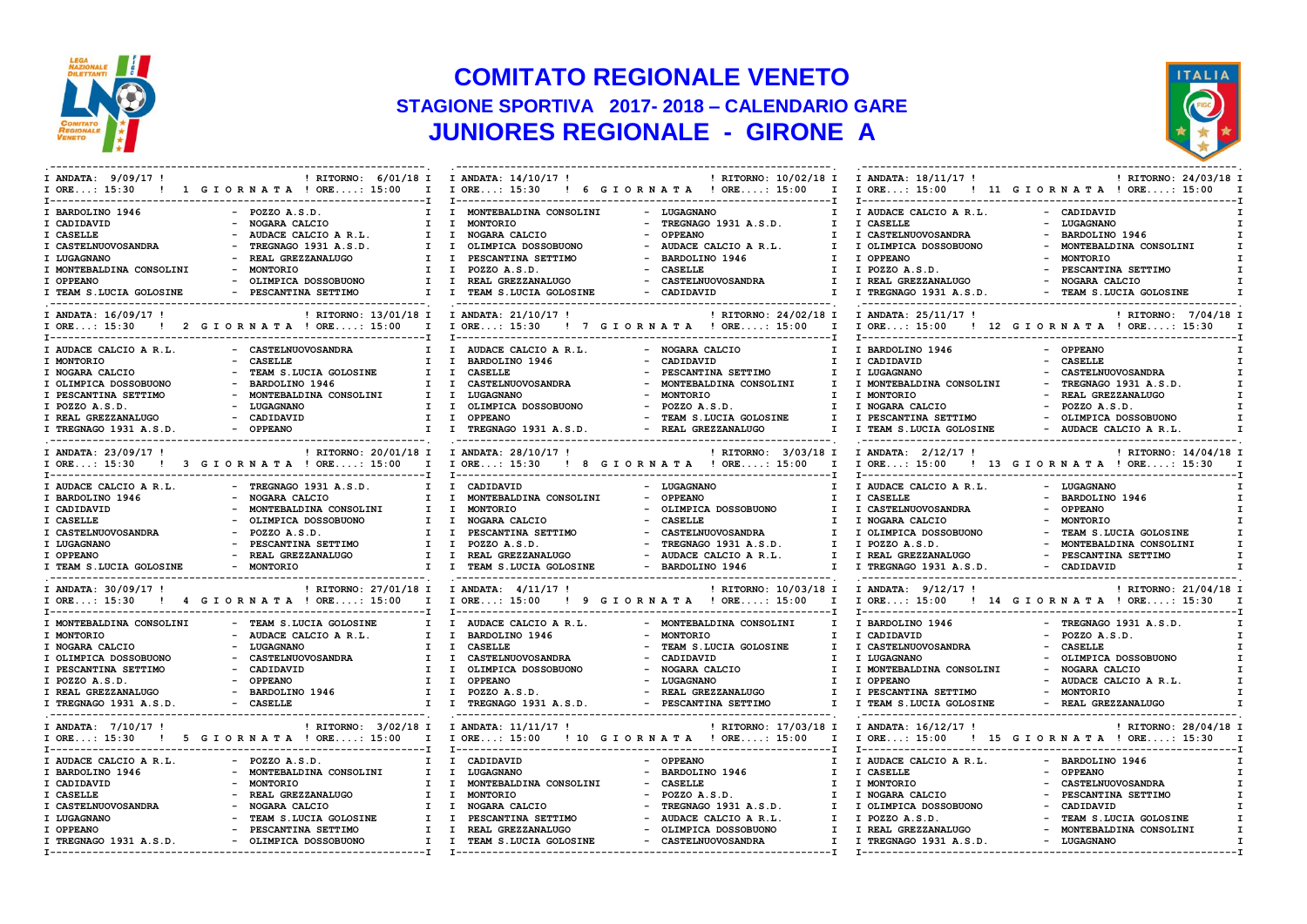

## **COMITATO REGIONALE VENETO STAGIONE SPORTIVA 2017- 2018 – CALENDARIO GARE JUNIORES REGIONALE - GIRONE A**



| I ANDATA: 9/09/17 !      | ! RITORNO: 6/01/18 I I ANDATA: 14/10/17 !                            |                                    | ! RITORNO: 10/02/18 I I ANDATA: 18/11/17 ! |                                                | ! RITORNO: 24/03/18 I       |
|--------------------------|----------------------------------------------------------------------|------------------------------------|--------------------------------------------|------------------------------------------------|-----------------------------|
| $I$ ORE: 15:30           | ! 1 GIORNATA ! ORE: 15:00 I I ORE: 15:30                             | - T----------------                | ! 6 GIORNATA ! ORE: 15:00<br>$\mathbf{I}$  | I ORE: 15:00 ! 11 G I ORNATA ! ORE: 15:00      |                             |
| I BARDOLINO 1946         | $-$ POZZO A.S.D.<br>$\mathbf{I}$                                     | I MONTEBALDINA CONSOLINI           | - LUGAGNANO<br>$\mathbf{I}$                | I AUDACE CALCIO A R.L.                         | - CADIDAVID                 |
| I CADIDAVID              | NOGARA CALCIO<br>$\mathbf{I}$                                        | MONTORIO<br>$\mathbf{I}$           | - TREGNAGO 1931 A.S.D.<br>$\mathbf{I}$     | I CASELLE                                      | - LUGAGNANO                 |
| I CASELLE                | AUDACE CALCIO A R.L.<br>$\mathbf{I}$                                 | $\mathbf{I}$<br>NOGARA CALCIO      | <b>OPPEANO</b><br>$\mathbf{I}$             | I CASTELNUOVOSANDRA                            | BARDOLINO 1946              |
| I CASTELNUOVOSANDRA      | TREGNAGO 1931 A.S.D.<br>$I$ $I$                                      | OLIMPICA DOSSOBUONO                | - AUDACE CALCIO A R.L.<br>$\mathbf{I}$     | I OLIMPICA DOSSOBUONO                          | MONTEBALDINA CONSOLINI      |
| I LUGAGNANO              | REAL GREZZANALUGO<br>$I$ $I$                                         | PESCANTINA SETTIMO                 | - BARDOLINO 1946<br>$\mathbf{I}$           | I OPPEANO                                      | <b>MONTORIO</b>             |
| I MONTEBALDINA CONSOLINI | <b>MONTORIO</b><br>$\mathbf{I}$                                      | I POZZO A.S.D.                     | <b>CASELLE</b><br>$\mathbf{I}$             | I POZZO A.S.D.                                 | PESCANTINA SETTIMO          |
|                          |                                                                      |                                    |                                            |                                                |                             |
| I OPPEANO                | - OLIMPICA DOSSOBUONO                                                | I I REAL GREZZANALUGO              | - CASTELNUOVOSANDRA<br>$\mathbf{I}$        | I REAL GREZZANALUGO                            | - NOGARA CALCIO             |
| I TEAM S.LUCIA GOLOSINE  | - PESCANTINA SETTIMO                                                 | I I TEAM S.LUCIA GOLOSINE          | - CADIDAVID<br>$\mathbf{I}$                | I TREGNAGO 1931 A.S.D.                         | - TEAM S.LUCIA GOLOSINE     |
| I ANDATA: 16/09/17 !     | ! RITORNO: 13/01/18 I I ANDATA: 21/10/17 !                           |                                    | ! RITORNO: 24/02/18 I I ANDATA: 25/11/17 ! |                                                | ! RITORNO: 7/04/18 I        |
| $I$ ORE: 15:30           | ! 2 GIORNATA ! ORE: 15:00 I I ORE: 15:30 ! 7 GIORNATA ! ORE: 15:00 I |                                    |                                            | I ORE: 15:00 ! 12 G I O R N A T A ! ORE: 15:30 | $\mathbf{r}$                |
| I AUDACE CALCIO A R.L.   | - CASTELNUOVOSANDRA<br>$\mathbf{I}$                                  | I AUDACE CALCIO A R.L.             | - NOGARA CALCIO<br>T                       | I BARDOLINO 1946                               | - OPPEANO                   |
| I MONTORIO               | - CASELLE<br>$\mathbf{I}$                                            | $\mathbf{I}$<br>BARDOLINO 1946     | - CADIDAVID<br>I.                          | I CADIDAVID                                    | - CASELLE                   |
| I NOGARA CALCIO          | - TEAM S.LUCIA GOLOSINE                                              | I I CASELLE                        | PESCANTINA SETTIMO<br>I.                   | I LUGAGNANO                                    | CASTELNUOVOSANDRA           |
| I OLIMPICA DOSSOBUONO    | BARDOLINO 1946<br>I.                                                 | CASTELNUOVOSANDRA<br>$\mathbf{I}$  | MONTEBALDINA CONSOLINI<br>I                | I MONTEBALDINA CONSOLINI                       | TREGNAGO 1931 A.S.D.        |
| I PESCANTINA SETTIMO     | - MONTEBALDINA CONSOLINI<br>$I$ $I$                                  | LUGAGNANO                          | MONTORIO<br>I.                             | I MONTORIO                                     | REAL GREZZANALUGO           |
| I POZZO A.S.D.           | - LUGAGNANO<br>$I \quad I$                                           | OLIMPICA DOSSOBUONO                | $-$ POZZO A.S.D.<br>$\mathbf{I}$           | I NOGARA CALCIO                                | POZZO A.S.D.                |
| I REAL GREZZANALUGO      | - CADIDAVID<br>$I$ $I$                                               | <b>OPPEANO</b>                     | - TEAM S.LUCIA GOLOSINE<br>$\mathbf{I}$    | I PESCANTINA SETTIMO                           | - OLIMPICA DOSSOBUONO       |
| I TREGNAGO 1931 A.S.D.   | - OPPEANO<br>$I$ $I$                                                 | TREGNAGO 1931 A.S.D.               | - REAL GREZZANALUGO<br>T                   | I TEAM S.LUCIA GOLOSINE                        | - AUDACE CALCIO A R.L.      |
|                          |                                                                      |                                    |                                            |                                                |                             |
| I ANDATA: 23/09/17 !     | ! RITORNO: 20/01/18 I I ANDATA: 28/10/17 !                           |                                    | ! RITORNO: 3/03/18 I                       | I ANDATA: 2/12/17!                             | ! RITORNO: 14/04/18 I       |
| $I$ ORE: 15:30           | ! 3 GIORNATA ! ORE: 15:00 I I ORE: 15:30                             |                                    | ! 8 GIORNATA ! ORE: 15:00<br>$\mathbf{I}$  | I ORE: 15:00                                   | ! 13 GIORNATA ! ORE: 15:30  |
| I AUDACE CALCIO A R.L.   | - TREGNAGO 1931 A.S.D.<br>$\mathbf{I}$                               | I CADIDAVID                        | - LUGAGNANO<br>$\mathbf{I}$                | I AUDACE CALCIO A R.L.                         | - LUGAGNANO                 |
| I BARDOLINO 1946         | - NOGARA CALCIO                                                      | I I MONTEBALDINA CONSOLINI         | - OPPEANO<br>$\mathbf{I}$                  | I CASELLE                                      | - BARDOLINO 1946            |
| I CADIDAVID              | MONTEBALDINA CONSOLINI<br>$\mathbf{I}$                               | $\mathbf{I}$<br>MONTORIO           | - OLIMPICA DOSSOBUONO<br>$\mathbf{I}$      | I CASTELNUOVOSANDRA                            | - OPPEANO                   |
| I CASELLE                | OLIMPICA DOSSOBUONO<br>$I$ $I$                                       | NOGARA CALCIO                      | - CASELLE<br>T                             | I NOGARA CALCIO                                | - MONTORIO                  |
|                          |                                                                      |                                    |                                            |                                                |                             |
| I CASTELNUOVOSANDRA      | POZZO A.S.D.<br>I.                                                   | PESCANTINA SETTIMO<br>$\mathbf{I}$ | CASTELNUOVOSANDRA<br>$\mathbf{I}$          | I OLIMPICA DOSSOBUONO                          | TEAM S.LUCIA GOLOSINE       |
| I LUGAGNANO              | - PESCANTINA SETTIMO                                                 | I I POZZO A.S.D.                   | - TREGNAGO 1931 A.S.D.<br>$\mathbf{I}$     | I POZZO A.S.D.                                 | - MONTEBALDINA CONSOLINI    |
| I OPPEANO                | - REAL GREZZANALUGO                                                  | I I REAL GREZZANALUGO              | - AUDACE CALCIO A R.L.<br>I.               | I REAL GREZZANALUGO                            | - PESCANTINA SETTIMO        |
| I TEAM S.LUCIA GOLOSINE  | - MONTORIO                                                           | I I TEAM S.LUCIA GOLOSINE          | - BARDOLINO 1946                           | I TREGNAGO 1931 A.S.D.                         | - CADIDAVID                 |
| I ANDATA: 30/09/17 !     | ! RITORNO: 27/01/18 I I ANDATA: 4/11/17 !                            |                                    | ! RITORNO: 10/03/18 I                      | I ANDATA: 9/12/17!                             | ! RITORNO: 21/04/18 I       |
| $I$ ORE: 15:30           | ! 4 GIORNATA ! ORE: 15:00 I I ORE: 15:00 ! 9 GIORNATA ! ORE: 15:00 I |                                    |                                            | I ORE: 15:00 ! 14 G I O R N A T A ! ORE: 15:30 |                             |
| I MONTEBALDINA CONSOLINI | - TEAM S.LUCIA GOLOSINE                                              | I I AUDACE CALCIO A R.L.           | - MONTEBALDINA CONSOLINI<br>$\mathbf{I}$   | I BARDOLINO 1946                               | - TREGNAGO 1931 A.S.D.      |
| I MONTORIO               | AUDACE CALCIO A R.L.<br>$\mathbf{I}$                                 | I BARDOLINO 1946                   | - MONTORIO<br>$\mathbf{I}$                 | I CADIDAVID                                    | $-$ POZZO A.S.D.            |
| I NOGARA CALCIO          | - LUGAGNANO<br>$I$ $I$                                               | <b>CASELLE</b>                     | TEAM S.LUCIA GOLOSINE<br>$\mathbf{I}$      | I CASTELNUOVOSANDRA                            | - CASELLE                   |
| I OLIMPICA DOSSOBUONO    | CASTELNUOVOSANDRA<br>$I$ $I$                                         | CASTELNUOVOSANDRA                  | - CADIDAVID<br>$\mathbf{I}$                | I LUGAGNANO                                    | OLIMPICA DOSSOBUONO         |
| I PESCANTINA SETTIMO     | CADIDAVID<br>$I$ $I$                                                 | OLIMPICA DOSSOBUONO                | - NOGARA CALCIO<br>$\mathbf{I}$            | I MONTEBALDINA CONSOLINI                       | - NOGARA CALCIO             |
| I POZZO A.S.D.           | - OPPEANO<br>$I$ $I$                                                 | <b>OPPEANO</b>                     | - LUGAGNANO<br>$\mathbf{I}$                | I OPPEANO                                      | - AUDACE CALCIO A R.L.      |
| I REAL GREZZANALUGO      | - BARDOLINO 1946                                                     | I I POZZO A.S.D.                   | - REAL GREZZANALUGO<br>$\mathbf{I}$        | I PESCANTINA SETTIMO                           | - MONTORIO                  |
|                          |                                                                      |                                    |                                            |                                                |                             |
| I TREGNAGO 1931 A.S.D.   | - CASELLE                                                            | I I TREGNAGO 1931 A.S.D.           | - PESCANTINA SETTIMO<br>$\mathbf{I}$       | I TEAM S.LUCIA GOLOSINE                        | - REAL GREZZANALUGO         |
| I ANDATA: 7/10/17 !      | ! RITORNO: 3/02/18 I I ANDATA: 11/11/17 !                            |                                    | ! RITORNO: 17/03/18 I                      | I ANDATA: 16/12/17 !                           | ! RITORNO: 28/04/18 I       |
| $I$ ORE: 15:30           | ! 5 GIORNATA ! ORE: 15:00 I I ORE: 15:00                             |                                    | ! 10 GIORNATA ! ORE: 15:00<br>$\mathbf{I}$ | $I$ ORE: 15:00                                 | ! 15 GIORNATA ! ORE: 15:30  |
|                          |                                                                      |                                    |                                            |                                                |                             |
| I AUDACE CALCIO A R.L.   | $-$ POZZO A.S.D.                                                     | I I CADIDAVID                      | - OPPEANO<br>$\mathbf{I}$                  | I AUDACE CALCIO A R.L.                         | - BARDOLINO 1946            |
| I BARDOLINO 1946         | - MONTEBALDINA CONSOLINI<br>$I$ $I$                                  | LUGAGNANO                          | - BARDOLINO 1946<br>I.                     | I CASELLE                                      | - OPPEANO                   |
| I CADIDAVID              | <b>MONTORIO</b><br>$I$ $I$                                           | MONTEBALDINA CONSOLINI             | CASELLE<br>$\mathbf{I}$                    | I MONTORIO                                     | CASTELNUOVOSANDRA           |
| I CASELLE                | - REAL GREZZANALUGO                                                  | I I MONTORIO                       | $-$ POZZO A.S.D.<br>T                      | I NOGARA CALCIO                                | PESCANTINA SETTIMO          |
|                          |                                                                      |                                    |                                            |                                                |                             |
| I CASTELNUOVOSANDRA      | NOGARA CALCIO<br>I.                                                  | NOGARA CALCIO<br>$\mathbf{I}$      | TREGNAGO 1931 A.S.D.<br>$\mathbf{I}$       | I OLIMPICA DOSSOBUONO                          | CADIDAVID                   |
| I LUGAGNANO              | TEAM S.LUCIA GOLOSINE<br>I.                                          | $\mathbf{I}$<br>PESCANTINA SETTIMO | AUDACE CALCIO A R.L.<br>I.                 | I POZZO A.S.D.                                 | TEAM S.LUCIA GOLOSINE<br>I. |
| I OPPEANO                | - PESCANTINA SETTIMO<br>$I$ $I$                                      | REAL GREZZANALUGO                  | OLIMPICA DOSSOBUONO<br>Ι.                  | I REAL GREZZANALUGO                            | MONTEBALDINA CONSOLINI      |
| I TREGNAGO 1931 A.S.D.   | - OLIMPICA DOSSOBUONO                                                | I I TEAM S.LUCIA GOLOSINE          | - CASTELNUOVOSANDRA<br>I.                  | I TREGNAGO 1931 A.S.D.                         | - LUGAGNANO                 |
|                          |                                                                      |                                    |                                            |                                                |                             |